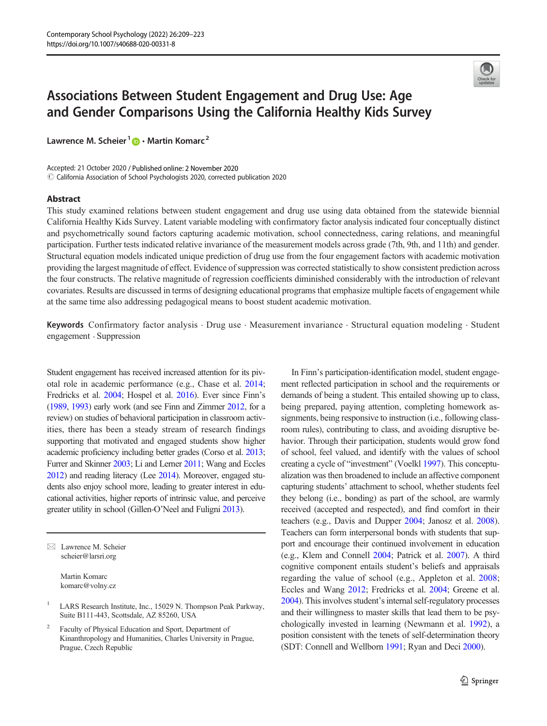

# Associations Between Student Engagement and Drug Use: Age and Gender Comparisons Using the California Healthy Kids Survey

Lawrence M. Scheier<sup>1</sup>  $\bullet \cdot$  Martin Komarc<sup>2</sup>

Accepted: 21 October 2020 / Published online: 2 November 2020  $\circled{c}$  California Association of School Psychologists 2020, corrected publication 2020

#### Abstract

This study examined relations between student engagement and drug use using data obtained from the statewide biennial California Healthy Kids Survey. Latent variable modeling with confirmatory factor analysis indicated four conceptually distinct and psychometrically sound factors capturing academic motivation, school connectedness, caring relations, and meaningful participation. Further tests indicated relative invariance of the measurement models across grade (7th, 9th, and 11th) and gender. Structural equation models indicated unique prediction of drug use from the four engagement factors with academic motivation providing the largest magnitude of effect. Evidence of suppression was corrected statistically to show consistent prediction across the four constructs. The relative magnitude of regression coefficients diminished considerably with the introduction of relevant covariates. Results are discussed in terms of designing educational programs that emphasize multiple facets of engagement while at the same time also addressing pedagogical means to boost student academic motivation.

Keywords Confirmatory factor analysis . Drug use . Measurement invariance . Structural equation modeling . Student engagement . Suppression

Student engagement has received increased attention for its pivotal role in academic performance (e.g., Chase et al. [2014](#page-12-0); Fredricks et al. [2004](#page-12-0); Hospel et al. [2016](#page-13-0)). Ever since Finn's [\(1989,](#page-12-0) [1993](#page-12-0)) early work (and see Finn and Zimmer [2012](#page-12-0), for a review) on studies of behavioral participation in classroom activities, there has been a steady stream of research findings supporting that motivated and engaged students show higher academic proficiency including better grades (Corso et al. [2013](#page-12-0); Furrer and Skinner [2003](#page-12-0); Li and Lerner [2011](#page-13-0); Wang and Eccles [2012\)](#page-14-0) and reading literacy (Lee [2014](#page-13-0)). Moreover, engaged students also enjoy school more, leading to greater interest in educational activities, higher reports of intrinsic value, and perceive greater utility in school (Gillen-O'Neel and Fuligni [2013](#page-12-0)).

 $\times$  Lawrence M. Scheier [scheier@larsri.org](mailto:scheier@larsri.org)

> Martin Komarc komarc@volny.cz

- <sup>1</sup> LARS Research Institute, Inc., 15029 N. Thompson Peak Parkway, Suite B111-443, Scottsdale, AZ 85260, USA
- Faculty of Physical Education and Sport, Department of Kinanthropology and Humanities, Charles University in Prague, Prague, Czech Republic

In Finn's participation-identification model, student engagement reflected participation in school and the requirements or demands of being a student. This entailed showing up to class, being prepared, paying attention, completing homework assignments, being responsive to instruction (i.e., following classroom rules), contributing to class, and avoiding disruptive behavior. Through their participation, students would grow fond of school, feel valued, and identify with the values of school creating a cycle of "investment" (Voelkl [1997\)](#page-14-0). This conceptualization was then broadened to include an affective component capturing students' attachment to school, whether students feel they belong (i.e., bonding) as part of the school, are warmly received (accepted and respected), and find comfort in their teachers (e.g., Davis and Dupper [2004](#page-12-0); Janosz et al. [2008\)](#page-13-0). Teachers can form interpersonal bonds with students that support and encourage their continued involvement in education (e.g., Klem and Connell [2004;](#page-13-0) Patrick et al. [2007](#page-14-0)). A third cognitive component entails student's beliefs and appraisals regarding the value of school (e.g., Appleton et al. [2008;](#page-11-0) Eccles and Wang [2012](#page-12-0); Fredricks et al. [2004;](#page-12-0) Greene et al. [2004](#page-12-0)). This involves student's internal self-regulatory processes and their willingness to master skills that lead them to be psychologically invested in learning (Newmann et al. [1992\)](#page-14-0), a position consistent with the tenets of self-determination theory (SDT: Connell and Wellborn [1991](#page-12-0); Ryan and Deci [2000](#page-14-0)).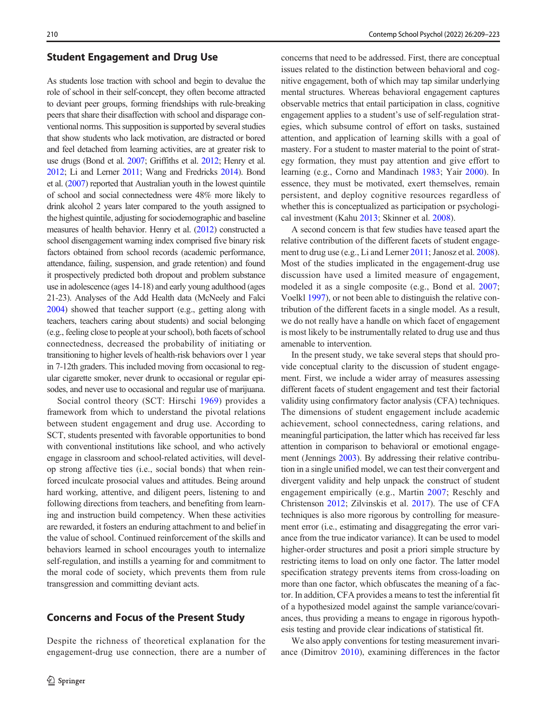## Student Engagement and Drug Use

As students lose traction with school and begin to devalue the role of school in their self-concept, they often become attracted to deviant peer groups, forming friendships with rule-breaking peers that share their disaffection with school and disparage conventional norms. This supposition is supported by several studies that show students who lack motivation, are distracted or bored and feel detached from learning activities, are at greater risk to use drugs (Bond et al. [2007;](#page-12-0) Griffiths et al. [2012](#page-12-0); Henry et al. [2012;](#page-13-0) Li and Lerner [2011](#page-13-0); Wang and Fredricks [2014](#page-14-0)). Bond et al. [\(2007\)](#page-12-0) reported that Australian youth in the lowest quintile of school and social connectedness were 48% more likely to drink alcohol 2 years later compared to the youth assigned to the highest quintile, adjusting for sociodemographic and baseline measures of health behavior. Henry et al. [\(2012\)](#page-13-0) constructed a school disengagement warning index comprised five binary risk factors obtained from school records (academic performance, attendance, failing, suspension, and grade retention) and found it prospectively predicted both dropout and problem substance use in adolescence (ages 14-18) and early young adulthood (ages 21-23). Analyses of the Add Health data (McNeely and Falci [2004](#page-13-0)) showed that teacher support (e.g., getting along with teachers, teachers caring about students) and social belonging (e.g., feeling close to people at your school), both facets of school connectedness, decreased the probability of initiating or transitioning to higher levels of health-risk behaviors over 1 year in 7-12th graders. This included moving from occasional to regular cigarette smoker, never drunk to occasional or regular episodes, and never use to occasional and regular use of marijuana.

Social control theory (SCT: Hirschi [1969](#page-13-0)) provides a framework from which to understand the pivotal relations between student engagement and drug use. According to SCT, students presented with favorable opportunities to bond with conventional institutions like school, and who actively engage in classroom and school-related activities, will develop strong affective ties (i.e., social bonds) that when reinforced inculcate prosocial values and attitudes. Being around hard working, attentive, and diligent peers, listening to and following directions from teachers, and benefiting from learning and instruction build competency. When these activities are rewarded, it fosters an enduring attachment to and belief in the value of school. Continued reinforcement of the skills and behaviors learned in school encourages youth to internalize self-regulation, and instills a yearning for and commitment to the moral code of society, which prevents them from rule transgression and committing deviant acts.

## Concerns and Focus of the Present Study

Despite the richness of theoretical explanation for the engagement-drug use connection, there are a number of

concerns that need to be addressed. First, there are conceptual issues related to the distinction between behavioral and cognitive engagement, both of which may tap similar underlying mental structures. Whereas behavioral engagement captures observable metrics that entail participation in class, cognitive engagement applies to a student's use of self-regulation strategies, which subsume control of effort on tasks, sustained attention, and application of learning skills with a goal of mastery. For a student to master material to the point of strategy formation, they must pay attention and give effort to learning (e.g., Corno and Mandinach [1983](#page-12-0); Yair [2000\)](#page-14-0). In essence, they must be motivated, exert themselves, remain persistent, and deploy cognitive resources regardless of whether this is conceptualized as participation or psychological investment (Kahu [2013;](#page-13-0) Skinner et al. [2008\)](#page-14-0).

A second concern is that few studies have teased apart the relative contribution of the different facets of student engagement to drug use (e.g., Li and Lerner [2011;](#page-13-0) Janosz et al. [2008\)](#page-13-0). Most of the studies implicated in the engagement-drug use discussion have used a limited measure of engagement, modeled it as a single composite (e.g., Bond et al. [2007;](#page-12-0) Voelkl [1997\)](#page-14-0), or not been able to distinguish the relative contribution of the different facets in a single model. As a result, we do not really have a handle on which facet of engagement is most likely to be instrumentally related to drug use and thus amenable to intervention.

In the present study, we take several steps that should provide conceptual clarity to the discussion of student engagement. First, we include a wider array of measures assessing different facets of student engagement and test their factorial validity using confirmatory factor analysis (CFA) techniques. The dimensions of student engagement include academic achievement, school connectedness, caring relations, and meaningful participation, the latter which has received far less attention in comparison to behavioral or emotional engagement (Jennings [2003\)](#page-13-0). By addressing their relative contribution in a single unified model, we can test their convergent and divergent validity and help unpack the construct of student engagement empirically (e.g., Martin [2007](#page-13-0); Reschly and Christenson [2012](#page-14-0); Zilvinskis et al. [2017](#page-14-0)). The use of CFA techniques is also more rigorous by controlling for measurement error (i.e., estimating and disaggregating the error variance from the true indicator variance). It can be used to model higher-order structures and posit a priori simple structure by restricting items to load on only one factor. The latter model specification strategy prevents items from cross-loading on more than one factor, which obfuscates the meaning of a factor. In addition, CFA provides a means to test the inferential fit of a hypothesized model against the sample variance/covariances, thus providing a means to engage in rigorous hypothesis testing and provide clear indications of statistical fit.

We also apply conventions for testing measurement invariance (Dimitrov [2010](#page-12-0)), examining differences in the factor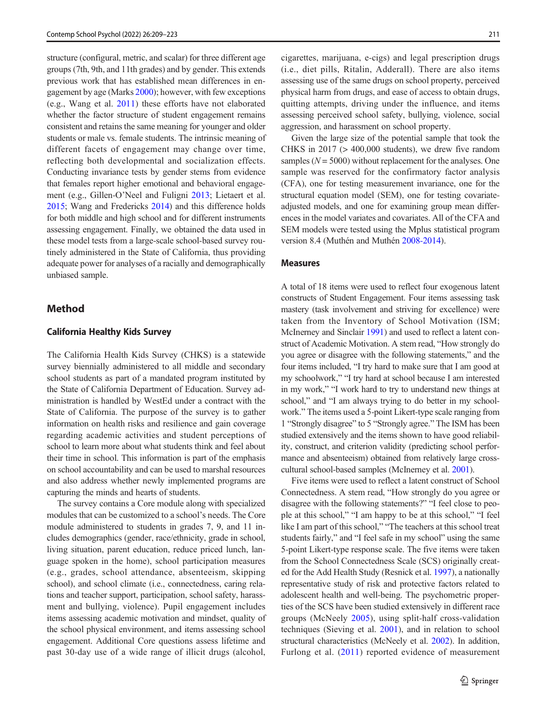structure (configural, metric, and scalar) for three different age groups (7th, 9th, and 11th grades) and by gender. This extends previous work that has established mean differences in engagement by age (Marks [2000\)](#page-13-0); however, with few exceptions (e.g., Wang et al. [2011](#page-14-0)) these efforts have not elaborated whether the factor structure of student engagement remains consistent and retains the same meaning for younger and older students or male vs. female students. The intrinsic meaning of different facets of engagement may change over time, reflecting both developmental and socialization effects. Conducting invariance tests by gender stems from evidence that females report higher emotional and behavioral engagement (e.g., Gillen-O'Neel and Fuligni [2013](#page-12-0); Lietaert et al. [2015;](#page-13-0) Wang and Fredericks [2014](#page-14-0)) and this difference holds for both middle and high school and for different instruments assessing engagement. Finally, we obtained the data used in these model tests from a large-scale school-based survey routinely administered in the State of California, thus providing adequate power for analyses of a racially and demographically unbiased sample.

## Method

#### California Healthy Kids Survey

The California Health Kids Survey (CHKS) is a statewide survey biennially administered to all middle and secondary school students as part of a mandated program instituted by the State of California Department of Education. Survey administration is handled by WestEd under a contract with the State of California. The purpose of the survey is to gather information on health risks and resilience and gain coverage regarding academic activities and student perceptions of school to learn more about what students think and feel about their time in school. This information is part of the emphasis on school accountability and can be used to marshal resources and also address whether newly implemented programs are capturing the minds and hearts of students.

The survey contains a Core module along with specialized modules that can be customized to a school's needs. The Core module administered to students in grades 7, 9, and 11 includes demographics (gender, race/ethnicity, grade in school, living situation, parent education, reduce priced lunch, language spoken in the home), school participation measures (e.g., grades, school attendance, absenteeism, skipping school), and school climate (i.e., connectedness, caring relations and teacher support, participation, school safety, harassment and bullying, violence). Pupil engagement includes items assessing academic motivation and mindset, quality of the school physical environment, and items assessing school engagement. Additional Core questions assess lifetime and past 30-day use of a wide range of illicit drugs (alcohol, cigarettes, marijuana, e-cigs) and legal prescription drugs (i.e., diet pills, Ritalin, Adderall). There are also items assessing use of the same drugs on school property, perceived physical harm from drugs, and ease of access to obtain drugs, quitting attempts, driving under the influence, and items assessing perceived school safety, bullying, violence, social aggression, and harassment on school property.

Given the large size of the potential sample that took the CHKS in 2017 (> 400,000 students), we drew five random samples  $(N = 5000)$  without replacement for the analyses. One sample was reserved for the confirmatory factor analysis (CFA), one for testing measurement invariance, one for the structural equation model (SEM), one for testing covariateadjusted models, and one for examining group mean differences in the model variates and covariates. All of the CFA and SEM models were tested using the Mplus statistical program version 8.4 (Muthén and Muthén [2008-2014](#page-14-0)).

#### Measures

A total of 18 items were used to reflect four exogenous latent constructs of Student Engagement. Four items assessing task mastery (task involvement and striving for excellence) were taken from the Inventory of School Motivation (ISM; McInerney and Sinclair [1991](#page-13-0)) and used to reflect a latent construct of Academic Motivation. A stem read, "How strongly do you agree or disagree with the following statements," and the four items included, "I try hard to make sure that I am good at my schoolwork," "I try hard at school because I am interested in my work," "I work hard to try to understand new things at school," and "I am always trying to do better in my schoolwork." The items used a 5-point Likert-type scale ranging from 1 "Strongly disagree" to 5 "Strongly agree." The ISM has been studied extensively and the items shown to have good reliability, construct, and criterion validity (predicting school performance and absenteeism) obtained from relatively large crosscultural school-based samples (McInerney et al. [2001\)](#page-13-0).

Five items were used to reflect a latent construct of School Connectedness. A stem read, "How strongly do you agree or disagree with the following statements?" "I feel close to people at this school," "I am happy to be at this school," "I feel like I am part of this school," "The teachers at this school treat students fairly," and "I feel safe in my school" using the same 5-point Likert-type response scale. The five items were taken from the School Connectedness Scale (SCS) originally created for the Add Health Study (Resnick et al. [1997\)](#page-14-0), a nationally representative study of risk and protective factors related to adolescent health and well-being. The psychometric properties of the SCS have been studied extensively in different race groups (McNeely [2005](#page-13-0)), using split-half cross-validation techniques (Sieving et al. [2001\)](#page-14-0), and in relation to school structural characteristics (McNeely et al. [2002](#page-14-0)). In addition, Furlong et al. [\(2011\)](#page-12-0) reported evidence of measurement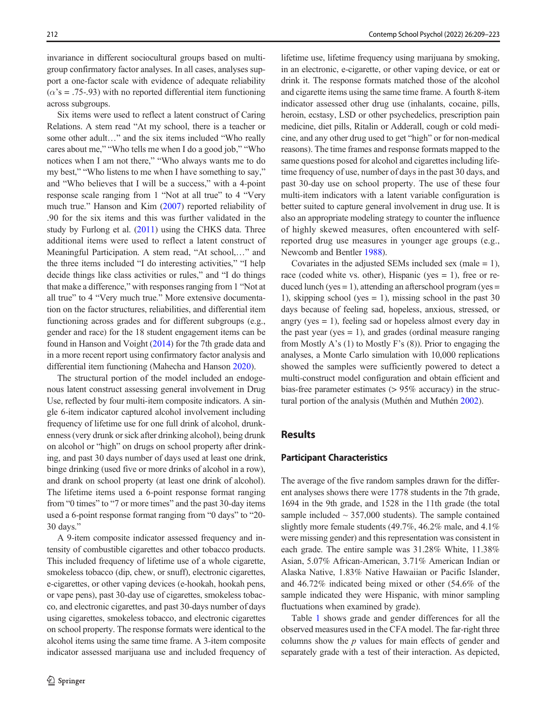invariance in different sociocultural groups based on multigroup confirmatory factor analyses. In all cases, analyses support a one-factor scale with evidence of adequate reliability  $(\alpha)$ 's = .75-.93) with no reported differential item functioning across subgroups.

Six items were used to reflect a latent construct of Caring Relations. A stem read "At my school, there is a teacher or some other adult…" and the six items included "Who really cares about me," "Who tells me when I do a good job," "Who notices when I am not there," "Who always wants me to do my best," "Who listens to me when I have something to say," and "Who believes that I will be a success," with a 4-point response scale ranging from 1 "Not at all true" to 4 "Very much true." Hanson and Kim ([2007](#page-12-0)) reported reliability of .90 for the six items and this was further validated in the study by Furlong et al. [\(2011\)](#page-12-0) using the CHKS data. Three additional items were used to reflect a latent construct of Meaningful Participation. A stem read, "At school,…" and the three items included "I do interesting activities," "I help decide things like class activities or rules," and "I do things that make a difference," with responses ranging from 1 "Not at all true" to 4 "Very much true." More extensive documentation on the factor structures, reliabilities, and differential item functioning across grades and for different subgroups (e.g., gender and race) for the 18 student engagement items can be found in Hanson and Voight [\(2014\)](#page-12-0) for the 7th grade data and in a more recent report using confirmatory factor analysis and differential item functioning (Mahecha and Hanson [2020](#page-13-0)).

The structural portion of the model included an endogenous latent construct assessing general involvement in Drug Use, reflected by four multi-item composite indicators. A single 6-item indicator captured alcohol involvement including frequency of lifetime use for one full drink of alcohol, drunkenness (very drunk or sick after drinking alcohol), being drunk on alcohol or "high" on drugs on school property after drinking, and past 30 days number of days used at least one drink, binge drinking (used five or more drinks of alcohol in a row), and drank on school property (at least one drink of alcohol). The lifetime items used a 6-point response format ranging from "0 times" to "7 or more times" and the past 30-day items used a 6-point response format ranging from "0 days" to "20- 30 days."

A 9-item composite indicator assessed frequency and intensity of combustible cigarettes and other tobacco products. This included frequency of lifetime use of a whole cigarette, smokeless tobacco (dip, chew, or snuff), electronic cigarettes, e-cigarettes, or other vaping devices (e-hookah, hookah pens, or vape pens), past 30-day use of cigarettes, smokeless tobacco, and electronic cigarettes, and past 30-days number of days using cigarettes, smokeless tobacco, and electronic cigarettes on school property. The response formats were identical to the alcohol items using the same time frame. A 3-item composite indicator assessed marijuana use and included frequency of

lifetime use, lifetime frequency using marijuana by smoking, in an electronic, e-cigarette, or other vaping device, or eat or drink it. The response formats matched those of the alcohol and cigarette items using the same time frame. A fourth 8-item indicator assessed other drug use (inhalants, cocaine, pills, heroin, ecstasy, LSD or other psychedelics, prescription pain medicine, diet pills, Ritalin or Adderall, cough or cold medicine, and any other drug used to get "high" or for non-medical reasons). The time frames and response formats mapped to the same questions posed for alcohol and cigarettes including lifetime frequency of use, number of days in the past 30 days, and past 30-day use on school property. The use of these four multi-item indicators with a latent variable configuration is better suited to capture general involvement in drug use. It is also an appropriate modeling strategy to counter the influence of highly skewed measures, often encountered with selfreported drug use measures in younger age groups (e.g., Newcomb and Bentler [1988](#page-14-0)).

Covariates in the adjusted SEMs included sex (male  $= 1$ ), race (coded white vs. other), Hispanic (yes  $= 1$ ), free or reduced lunch (yes  $= 1$ ), attending an afterschool program (yes  $=$ 1), skipping school (yes  $= 1$ ), missing school in the past 30 days because of feeling sad, hopeless, anxious, stressed, or angry (yes  $= 1$ ), feeling sad or hopeless almost every day in the past year (yes  $= 1$ ), and grades (ordinal measure ranging from Mostly A's (1) to Mostly F's (8)). Prior to engaging the analyses, a Monte Carlo simulation with 10,000 replications showed the samples were sufficiently powered to detect a multi-construct model configuration and obtain efficient and bias-free parameter estimates (> 95% accuracy) in the structural portion of the analysis (Muthén and Muthén [2002](#page-14-0)).

#### Results

#### Participant Characteristics

The average of the five random samples drawn for the different analyses shows there were 1778 students in the 7th grade, 1694 in the 9th grade, and 1528 in the 11th grade (the total sample included  $\sim$  357,000 students). The sample contained slightly more female students (49.7%, 46.2% male, and 4.1% were missing gender) and this representation was consistent in each grade. The entire sample was 31.28% White, 11.38% Asian, 5.07% African-American, 3.71% American Indian or Alaska Native, 1.83% Native Hawaiian or Pacific Islander, and 46.72% indicated being mixed or other (54.6% of the sample indicated they were Hispanic, with minor sampling fluctuations when examined by grade).

Table [1](#page-4-0) shows grade and gender differences for all the observed measures used in the CFA model. The far-right three columns show the p values for main effects of gender and separately grade with a test of their interaction. As depicted,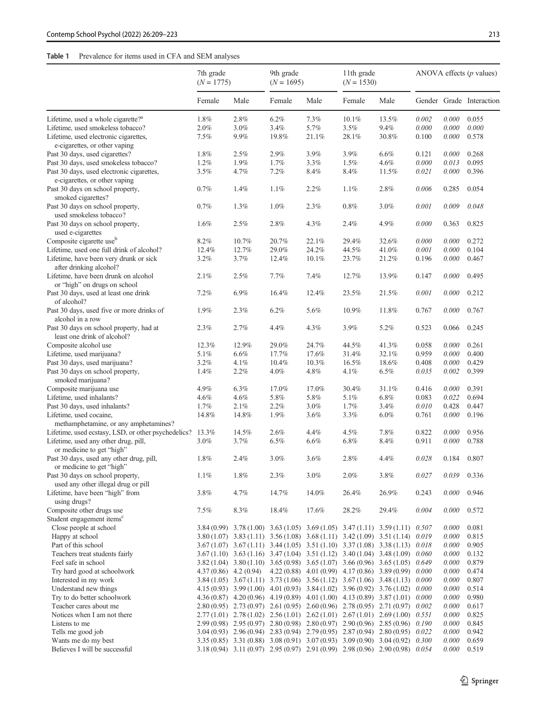# <span id="page-4-0"></span>Table 1 Prevalence for items used in CFA and SEM analyses

|                                                                                             | 7th grade<br>$(N = 1775)$ |               | 9th grade<br>$(N = 1695)$ |                                                                               | 11th grade<br>$(N = 1530)$ |                                                                                                                                                                | ANOVA effects $(p$ values) |                |                          |
|---------------------------------------------------------------------------------------------|---------------------------|---------------|---------------------------|-------------------------------------------------------------------------------|----------------------------|----------------------------------------------------------------------------------------------------------------------------------------------------------------|----------------------------|----------------|--------------------------|
|                                                                                             | Female                    | Male          | Female                    | Male                                                                          | Female                     | Male                                                                                                                                                           |                            |                | Gender Grade Interaction |
| Lifetime, used a whole cigarette? <sup>a</sup>                                              | 1.8%                      | 2.8%          | 6.2%                      | 7.3%                                                                          | 10.1%                      | 13.5%                                                                                                                                                          | 0.002                      | 0.000          | 0.055                    |
| Lifetime, used smokeless tobacco?                                                           | 2.0%                      | 3.0%          | 3.4%                      | 5.7%                                                                          | 3.5%                       | 9.4%                                                                                                                                                           | 0.000                      | 0.000          | 0.000                    |
| Lifetime, used electronic cigarettes,                                                       | 7.5%                      | 9.9%          | 19.8%                     | 21.1%                                                                         | 28.1%                      | 30.8%                                                                                                                                                          | 0.100                      | 0.000          | 0.578                    |
| e-cigarettes, or other vaping                                                               |                           |               |                           |                                                                               |                            |                                                                                                                                                                |                            |                |                          |
| Past 30 days, used cigarettes?                                                              | 1.8%                      | 2.5%          | 2.9%                      | 3.9%                                                                          | 3.9%                       | 6.6%                                                                                                                                                           | 0.121                      | 0.000          | 0.268                    |
| Past 30 days, used smokeless tobacco?                                                       | 1.2%                      | 1.9%          | 1.7%                      | 3.3%                                                                          | 1.5%                       | 4.6%                                                                                                                                                           | 0.000                      | 0.013          | 0.095                    |
| Past 30 days, used electronic cigarettes,                                                   | 3.5%                      | 4.7%          | 7.2%                      | 8.4%                                                                          | 8.4%                       | 11.5%                                                                                                                                                          | 0.021                      | 0.000          | 0.396                    |
| e-cigarettes, or other vaping<br>Past 30 days on school property,                           | 0.7%                      | 1.4%          | 1.1%                      | 2.2%                                                                          | 1.1%                       | 2.8%                                                                                                                                                           | 0.006                      | 0.285          | 0.054                    |
| smoked cigarettes?                                                                          |                           |               |                           |                                                                               |                            |                                                                                                                                                                |                            |                |                          |
| Past 30 days on school property,                                                            | 0.7%                      | 1.3%          | 1.0%                      | 2.3%                                                                          | 0.8%                       | 3.0%                                                                                                                                                           | 0.001                      | 0.009          | 0.048                    |
| used smokeless tobacco?                                                                     |                           |               |                           |                                                                               |                            |                                                                                                                                                                |                            |                |                          |
| Past 30 days on school property,                                                            | 1.6%                      | 2.5%          | 2.8%                      | 4.3%                                                                          | 2.4%                       | 4.9%                                                                                                                                                           | 0.000                      | 0.363          | 0.825                    |
| used e-cigarettes                                                                           |                           |               |                           |                                                                               |                            |                                                                                                                                                                |                            |                |                          |
| Composite cigarette use <sup>b</sup>                                                        | 8.2%                      | 10.7%         | 20.7%                     | 22.1%                                                                         | 29.4%                      | 32.6%                                                                                                                                                          | 0.000                      | 0.000          | 0.272                    |
| Lifetime, used one full drink of alcohol?                                                   | 12.4%                     | 12.7%         | 29.0%                     | 24.2%                                                                         | 44.5%                      | 41.0%                                                                                                                                                          | 0.001                      | 0.000          | 0.104                    |
| Lifetime, have been very drunk or sick                                                      | 3.2%                      | 3.7%          | 12.4%                     | 10.1%                                                                         | 23.7%                      | 21.2%                                                                                                                                                          | 0.196                      | 0.000          | 0.467                    |
| after drinking alcohol?                                                                     |                           |               |                           |                                                                               |                            |                                                                                                                                                                |                            |                |                          |
| Lifetime, have been drunk on alcohol                                                        | 2.1%                      | 2.5%          | 7.7%                      | 7.4%                                                                          | 12.7%                      | 13.9%                                                                                                                                                          | 0.147                      | 0.000          | 0.495                    |
| or "high" on drugs on school                                                                |                           |               |                           |                                                                               |                            |                                                                                                                                                                |                            |                |                          |
| Past 30 days, used at least one drink                                                       | 7.2%                      | 6.9%          | 16.4%                     | 12.4%                                                                         | 23.5%                      | 21.5%                                                                                                                                                          | 0.001                      | 0.000          | 0.212                    |
| of alcohol?                                                                                 |                           |               |                           |                                                                               |                            |                                                                                                                                                                |                            |                |                          |
| Past 30 days, used five or more drinks of                                                   | 1.9%                      | 2.3%          | 6.2%                      | 5.6%                                                                          | 10.9%                      | 11.8%                                                                                                                                                          | 0.767                      | 0.000          | 0.767                    |
| alcohol in a row                                                                            |                           |               |                           |                                                                               |                            |                                                                                                                                                                |                            |                |                          |
| Past 30 days on school property, had at                                                     | 2.3%                      | 2.7%          | 4.4%                      | 4.3%                                                                          | 3.9%                       | 5.2%                                                                                                                                                           | 0.523                      | 0.066          | 0.245                    |
| least one drink of alcohol?                                                                 |                           |               |                           |                                                                               |                            |                                                                                                                                                                |                            |                |                          |
| Composite alcohol use                                                                       | 12.3%                     | 12.9%         | 29.0%                     | 24.7%                                                                         | 44.5%                      | 41.3%                                                                                                                                                          | 0.058                      | 0.000          | 0.261                    |
| Lifetime, used marijuana?                                                                   | 5.1%                      | 6.6%          | 17.7%                     | 17.6%                                                                         | 31.4%                      | 32.1%                                                                                                                                                          | 0.959                      | 0.000          | 0.400                    |
| Past 30 days, used marijuana?                                                               | 3.2%                      | 4.1%          | 10.4%                     | 10.3%                                                                         | 16.5%                      | 18.6%                                                                                                                                                          | 0.408                      | 0.000          | 0.429                    |
| Past 30 days on school property,                                                            | 1.4%                      | 2.2%          | 4.0%                      | 4.8%                                                                          | 4.1%                       | 6.5%                                                                                                                                                           | 0.035                      | 0.002          | 0.399                    |
| smoked marijuana?                                                                           |                           |               |                           |                                                                               |                            |                                                                                                                                                                |                            |                |                          |
| Composite marijuana use                                                                     | 4.9%                      | 6.3%          | 17.0%                     | 17.0%                                                                         | 30.4%                      | 31.1%                                                                                                                                                          | 0.416                      | 0.000          | 0.391                    |
| Lifetime, used inhalants?                                                                   | 4.6%                      | 4.6%          | 5.8%                      | 5.8%                                                                          | 5.1%                       | 6.8%                                                                                                                                                           | 0.083                      | 0.022          | 0.694                    |
| Past 30 days, used inhalants?                                                               | 1.7%                      | 2.1%          | 2.2%                      | 3.0%                                                                          | 1.7%                       | 3.4%                                                                                                                                                           | 0.010                      | 0.428          | 0.447                    |
| Lifetime, used cocaine,                                                                     | 14.8%                     | 14.8%         | 1.9%                      | 3.6%                                                                          | 3.3%                       | 6.0%                                                                                                                                                           | 0.761                      | 0.000          | 0.196                    |
| methamphetamine, or any amphetamines?                                                       |                           |               |                           |                                                                               |                            |                                                                                                                                                                |                            |                |                          |
| Lifetime, used ecstasy, LSD, or other psychedelics?<br>Lifetime, used any other drug, pill, | 13.3%<br>3.0%             | 14.5%<br>3.7% | 2.6%<br>6.5%              | 4.4%<br>6.6%                                                                  | 4.5%<br>6.8%               | 7.8%<br>8.4%                                                                                                                                                   | 0.822<br>0.911             | 0.000<br>0.000 | 0.956<br>0.788           |
| or medicine to get "high"                                                                   |                           |               |                           |                                                                               |                            |                                                                                                                                                                |                            |                |                          |
| Past 30 days, used any other drug, pill,                                                    | 1.8%                      | 2.4%          | 3.0%                      | 3.6%                                                                          | 2.8%                       | 4.4%                                                                                                                                                           | 0.028                      | 0.184          | 0.807                    |
| or medicine to get "high"                                                                   |                           |               |                           |                                                                               |                            |                                                                                                                                                                |                            |                |                          |
| Past 30 days on school property,                                                            | 1.1%                      | 1.8%          | 2.3%                      | 3.0%                                                                          | 2.0%                       | 3.8%                                                                                                                                                           | 0.027                      | 0.039          | 0.336                    |
| used any other illegal drug or pill                                                         |                           |               |                           |                                                                               |                            |                                                                                                                                                                |                            |                |                          |
| Lifetime, have been "high" from                                                             | 3.8%                      | 4.7%          | 14.7%                     | 14.0%                                                                         | 26.4%                      | 26.9%                                                                                                                                                          | 0.243                      | 0.000          | 0.946                    |
| using drugs?                                                                                |                           |               |                           |                                                                               |                            |                                                                                                                                                                |                            |                |                          |
| Composite other drugs use                                                                   | 7.5%                      | 8.3%          | 18.4%                     | 17.6%                                                                         | 28.2%                      | 29.4%                                                                                                                                                          | 0.004                      | 0.000          | 0.572                    |
| Student engagement items <sup>c</sup>                                                       |                           |               |                           |                                                                               |                            |                                                                                                                                                                |                            |                |                          |
| Close people at school                                                                      |                           |               |                           | $3.84(0.99)$ $3.78(1.00)$ $3.63(1.05)$ $3.69(1.05)$ $3.47(1.11)$ $3.59(1.11)$ |                            |                                                                                                                                                                | 0.507                      | 0.000          | 0.081                    |
| Happy at school                                                                             |                           |               |                           |                                                                               |                            | 3.80 (1.07) 3.83 (1.11) 3.56 (1.08) 3.68 (1.11) 3.42 (1.09) 3.51 (1.14) 0.019                                                                                  |                            | 0.000          | 0.815                    |
| Part of this school                                                                         |                           |               |                           |                                                                               |                            | $3.67(1.07)$ $3.67(1.11)$ $3.44(1.05)$ $3.51(1.10)$ $3.37(1.08)$ $3.38(1.13)$ $0.018$                                                                          |                            | 0.000          | 0.905                    |
| Teachers treat students fairly                                                              |                           |               |                           |                                                                               |                            | $3.67(1.10)$ $3.63(1.16)$ $3.47(1.04)$ $3.51(1.12)$ $3.40(1.04)$ $3.48(1.09)$ $0.060$                                                                          |                            | 0.000          | 0.132                    |
| Feel safe in school                                                                         |                           |               |                           |                                                                               |                            | $3.82(1.04)$ $3.80(1.10)$ $3.65(0.98)$ $3.65(1.07)$ $3.66(0.96)$ $3.65(1.05)$                                                                                  | 0.649                      | 0.000          | 0.879                    |
| Try hard good at schoolwork                                                                 | $4.37(0.86)$ $4.2(0.94)$  |               |                           |                                                                               |                            | $4.22(0.88)$ $4.01(0.99)$ $4.17(0.86)$ $3.89(0.99)$ $0.000$                                                                                                    |                            | 0.000          | 0.474                    |
| Interested in my work                                                                       |                           |               |                           |                                                                               |                            | $3.84(1.05)$ $3.67(1.11)$ $3.73(1.06)$ $3.56(1.12)$ $3.67(1.06)$ $3.48(1.13)$                                                                                  | 0.000                      | 0.000          | 0.807                    |
| Understand new things                                                                       |                           |               |                           |                                                                               |                            | 4.15 (0.93) 3.99 (1.00) 4.01 (0.93) 3.84 (1.02) 3.96 (0.92) 3.76 (1.02) 0.000                                                                                  |                            | 0.000          | 0.514                    |
| Try to do better schoolwork                                                                 |                           |               |                           |                                                                               |                            | 4.36 (0.87) 4.20 (0.96) 4.19 (0.89) 4.01 (1.00) 4.13 (0.89) 3.87 (1.01) 0.000                                                                                  |                            | 0.000          | 0.980                    |
| Teacher cares about me                                                                      |                           |               |                           |                                                                               |                            | 2.80 (0.95) 2.73 (0.97) 2.61 (0.95) 2.60 (0.96) 2.78 (0.95) 2.71 (0.97) 0.002                                                                                  |                            | 0.000          | 0.617                    |
| Notices when I am not there                                                                 |                           |               |                           |                                                                               |                            | $2.77(1.01)$ $2.78(1.02)$ $2.56(1.01)$ $2.62(1.01)$ $2.67(1.01)$ $2.69(1.00)$ $0.551$                                                                          |                            | 0.000          | 0.825                    |
| Listens to me                                                                               |                           |               |                           |                                                                               |                            | 2.99 (0.98) 2.95 (0.97) 2.80 (0.98) 2.80 (0.97) 2.90 (0.96) 2.85 (0.96) 0.190                                                                                  |                            | 0.000          | 0.845                    |
| Tells me good job<br>Wants me do my best                                                    |                           |               |                           |                                                                               |                            | 3.04 (0.93) 2.96 (0.94) 2.83 (0.94) 2.79 (0.95) 2.87 (0.94) 2.80 (0.95) 0.022<br>3.35 (0.85) 3.31 (0.88) 3.08 (0.91) 3.07 (0.93) 3.09 (0.90) 3.04 (0.92) 0.300 |                            | 0.000<br>0.000 | 0.942<br>0.659           |
| Believes I will be successful                                                               |                           |               |                           | 3.18 (0.94) 3.11 (0.97) 2.95 (0.97) 2.91 (0.99) 2.98 (0.96) 2.90 (0.98)       |                            |                                                                                                                                                                | 0.054                      | 0.000          | 0.519                    |
|                                                                                             |                           |               |                           |                                                                               |                            |                                                                                                                                                                |                            |                |                          |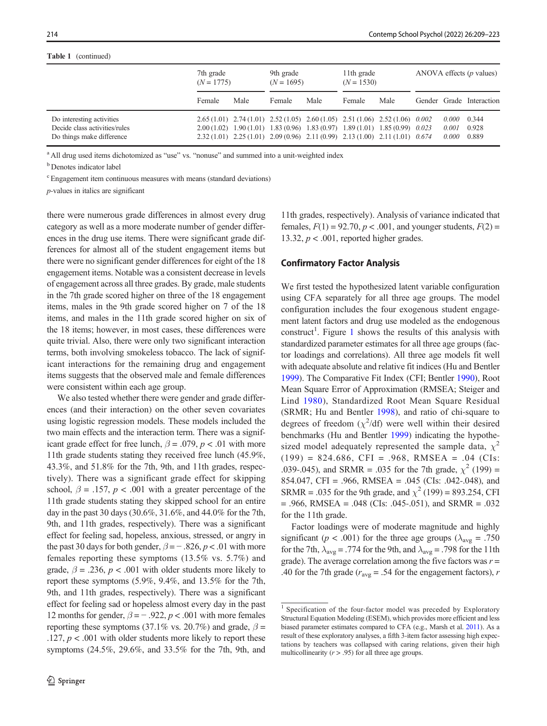#### Table 1 (continued)

|                                                                                         | 7th grade<br>$(N = 1775)$ |      | 9th grade<br>$(N = 1695)$                                                                                                                                                                                                                                               |      | 11th grade<br>$(N = 1530)$ |      | ANOVA effects $(p \text{ values})$ |                         |                          |
|-----------------------------------------------------------------------------------------|---------------------------|------|-------------------------------------------------------------------------------------------------------------------------------------------------------------------------------------------------------------------------------------------------------------------------|------|----------------------------|------|------------------------------------|-------------------------|--------------------------|
|                                                                                         | Female                    | Male | Female                                                                                                                                                                                                                                                                  | Male | Female                     | Male |                                    |                         | Gender Grade Interaction |
| Do interesting activities<br>Decide class activities/rules<br>Do things make difference |                           |      | $2.65(1.01)$ $2.74(1.01)$ $2.52(1.05)$ $2.60(1.05)$ $2.51(1.06)$ $2.52(1.06)$ $0.002$<br>$2.00(1.02)$ $1.90(1.01)$ $1.83(0.96)$ $1.83(0.97)$ $1.89(1.01)$ $1.85(0.99)$ $0.023$<br>$2.32(1.01)$ $2.25(1.01)$ $2.09(0.96)$ $2.11(0.99)$ $2.13(1.00)$ $2.11(1.01)$ $0.674$ |      |                            |      |                                    | 0.000<br>0.001<br>0.000 | 0.344<br>0.928<br>0.889  |

<sup>a</sup> All drug used items dichotomized as "use" vs. "nonuse" and summed into a unit-weighted index

**b** Denotes indicator label

<sup>c</sup> Engagement item continuous measures with means (standard deviations)

p-values in italics are significant

there were numerous grade differences in almost every drug category as well as a more moderate number of gender differences in the drug use items. There were significant grade differences for almost all of the student engagement items but there were no significant gender differences for eight of the 18 engagement items. Notable was a consistent decrease in levels of engagement across all three grades. By grade, male students in the 7th grade scored higher on three of the 18 engagement items, males in the 9th grade scored higher on 7 of the 18 items, and males in the 11th grade scored higher on six of the 18 items; however, in most cases, these differences were quite trivial. Also, there were only two significant interaction terms, both involving smokeless tobacco. The lack of significant interactions for the remaining drug and engagement items suggests that the observed male and female differences were consistent within each age group.

We also tested whether there were gender and grade differences (and their interaction) on the other seven covariates using logistic regression models. These models included the two main effects and the interaction term. There was a significant grade effect for free lunch,  $\beta = .079$ ,  $p < .01$  with more 11th grade students stating they received free lunch (45.9%, 43.3%, and 51.8% for the 7th, 9th, and 11th grades, respectively). There was a significant grade effect for skipping school,  $\beta = .157$ ,  $p < .001$  with a greater percentage of the 11th grade students stating they skipped school for an entire day in the past 30 days (30.6%, 31.6%, and 44.0% for the 7th, 9th, and 11th grades, respectively). There was a significant effect for feeling sad, hopeless, anxious, stressed, or angry in the past 30 days for both gender,  $\beta = -0.826$ ,  $p < 0.01$  with more females reporting these symptoms (13.5% vs. 5.7%) and grade,  $\beta = .236$ ,  $p < .001$  with older students more likely to report these symptoms (5.9%, 9.4%, and 13.5% for the 7th, 9th, and 11th grades, respectively). There was a significant effect for feeling sad or hopeless almost every day in the past 12 months for gender,  $\beta = -0.922$ ,  $p < 0.001$  with more females reporting these symptoms (37.1% vs. 20.7%) and grade,  $\beta$  = .127,  $p < .001$  with older students more likely to report these symptoms (24.5%, 29.6%, and 33.5% for the 7th, 9th, and

11th grades, respectively). Analysis of variance indicated that females,  $F(1) = 92.70$ ,  $p < .001$ , and younger students,  $F(2) =$ 13.32,  $p < .001$ , reported higher grades.

#### Confirmatory Factor Analysis

We first tested the hypothesized latent variable configuration using CFA separately for all three age groups. The model configuration includes the four exogenous student engagement latent factors and drug use modeled as the endogenous  $constant<sup>1</sup>$  $constant<sup>1</sup>$  $constant<sup>1</sup>$ . Figure 1 shows the results of this analysis with standardized parameter estimates for all three age groups (factor loadings and correlations). All three age models fit well with adequate absolute and relative fit indices (Hu and Bentler [1999\)](#page-13-0). The Comparative Fit Index (CFI; Bentler [1990\)](#page-13-0), Root Mean Square Error of Approximation (RMSEA; Steiger and Lind [1980](#page-14-0)), Standardized Root Mean Square Residual (SRMR; Hu and Bentler [1998](#page-13-0)), and ratio of chi-square to degrees of freedom  $(\chi^2/df)$  were well within their desired benchmarks (Hu and Bentler [1999](#page-13-0)) indicating the hypothesized model adequately represented the sample data,  $\chi^2$  $(199) = 824.686$ , CFI = .968, RMSEA = .04 (CIs: .039-.045), and SRMR = .035 for the 7th grade,  $\chi^2$  (199) = 854.047, CFI = .966, RMSEA = .045 (CIs: .042-.048), and SRMR = .035 for the 9th grade, and  $\chi^2$  (199) = 893.254, CFI  $= .966$ , RMSEA  $= .048$  (CIs: .045-.051), and SRMR  $= .032$ for the 11th grade.

Factor loadings were of moderate magnitude and highly significant ( $p < .001$ ) for the three age groups ( $\lambda_{avg} = .750$ for the 7th,  $\lambda_{avg} = .774$  for the 9th, and  $\lambda_{avg} = .798$  for the 11th grade). The average correlation among the five factors was  $r =$ .40 for the 7th grade ( $r_{\text{avg}}$  = .54 for the engagement factors), r

<sup>&</sup>lt;sup>1</sup> Specification of the four-factor model was preceded by Exploratory Structural Equation Modeling (ESEM), which provides more efficient and less biased parameter estimates compared to CFA (e.g., Marsh et al. [2011\)](#page-13-0). As a result of these exploratory analyses, a fifth 3-item factor assessing high expectations by teachers was collapsed with caring relations, given their high multicollinearity  $(r > .95)$  for all three age groups.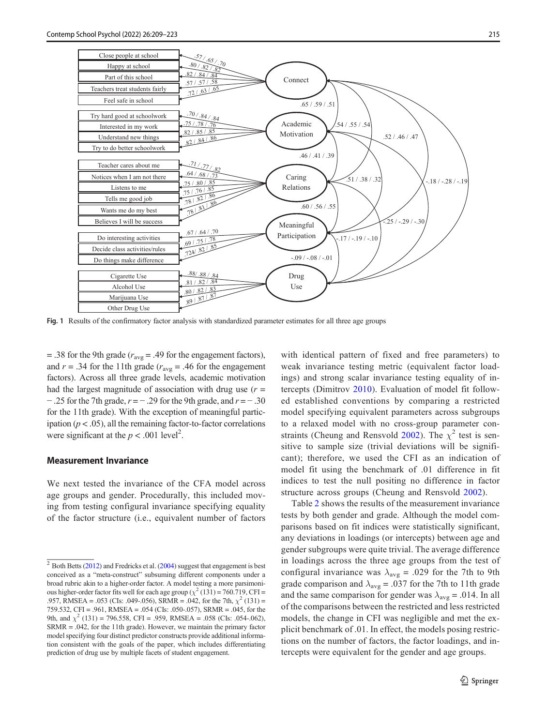<span id="page-6-0"></span>

Fig. 1 Results of the confirmatory factor analysis with standardized parameter estimates for all three age groups

= .38 for the 9th grade ( $r_{\text{avg}}$  = .49 for the engagement factors), and  $r = .34$  for the 11th grade ( $r_{\text{avg}} = .46$  for the engagement factors). Across all three grade levels, academic motivation had the largest magnitude of association with drug use  $(r =$  $-$  .25 for the 7th grade,  $r = -0.29$  for the 9th grade, and  $r = -0.30$ for the 11th grade). With the exception of meaningful participation ( $p < .05$ ), all the remaining factor-to-factor correlations were significant at the  $p < .001$  level<sup>2</sup>.

## Measurement Invariance

We next tested the invariance of the CFA model across age groups and gender. Procedurally, this included moving from testing configural invariance specifying equality of the factor structure (i.e., equivalent number of factors

with identical pattern of fixed and free parameters) to weak invariance testing metric (equivalent factor loadings) and strong scalar invariance testing equality of intercepts (Dimitrov [2010](#page-12-0)). Evaluation of model fit followed established conventions by comparing a restricted model specifying equivalent parameters across subgroups to a relaxed model with no cross-group parameter con-straints (Cheung and Rensvold [2002\)](#page-12-0). The  $\chi^2$  test is sensitive to sample size (trivial deviations will be significant); therefore, we used the CFI as an indication of model fit using the benchmark of .01 difference in fit indices to test the null positing no difference in factor structure across groups (Cheung and Rensvold [2002](#page-12-0)).

Table [2](#page-7-0) shows the results of the measurement invariance tests by both gender and grade. Although the model comparisons based on fit indices were statistically significant, any deviations in loadings (or intercepts) between age and gender subgroups were quite trivial. The average difference in loadings across the three age groups from the test of configural invariance was  $\lambda_{\text{avg}} = .029$  for the 7th to 9th grade comparison and  $\lambda_{\text{avg}} = .037$  for the 7th to 11th grade and the same comparison for gender was  $\lambda_{\text{avg}} = .014$ . In all of the comparisons between the restricted and less restricted models, the change in CFI was negligible and met the explicit benchmark of .01. In effect, the models posing restrictions on the number of factors, the factor loadings, and intercepts were equivalent for the gender and age groups.

 $\frac{2}{2}$  Both Betts ([2012](#page-12-0)) and Fredricks et al. [\(2004\)](#page-12-0) suggest that engagement is best conceived as a "meta-construct" subsuming different components under a broad rubric akin to a higher-order factor. A model testing a more parsimonious higher-order factor fits well for each age group ( $\chi^2$  (131) = 760.719, CFI = .957, RMSEA = .053 (CIs: .049-.056), SRMR = .042, for the 7th,  $\chi^2$  (131) = 759.532, CFI = .961, RMSEA = .054 (CIs: .050-.057), SRMR = .045, for the 9th, and  $\chi^2$  (131) = 796.558, CFI = .959, RMSEA = .058 (CIs: .054-.062), SRMR = .042, for the 11th grade). However, we maintain the primary factor model specifying four distinct predictor constructs provide additional information consistent with the goals of the paper, which includes differentiating prediction of drug use by multiple facets of student engagement.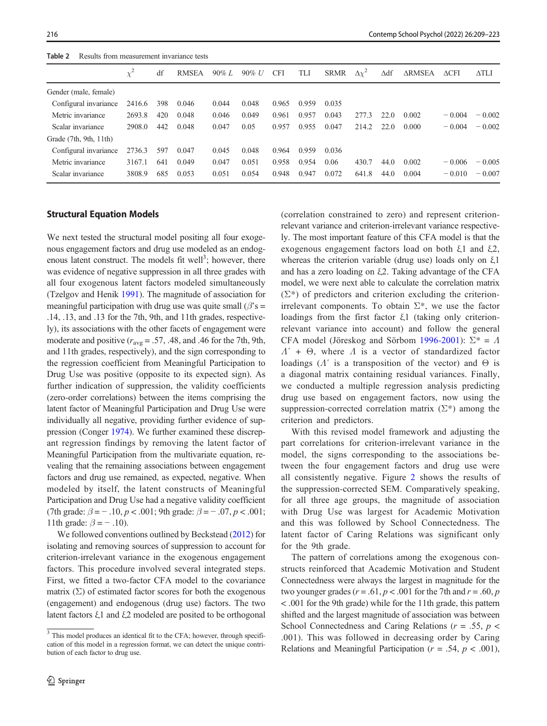<span id="page-7-0"></span>

| Table 2<br>Results from measurement invariance tests |
|------------------------------------------------------|
|                                                      |

|                        | $\chi^2$ | df  | <b>RMSEA</b> | 90% L | 90% U | <b>CFI</b> | <b>TLI</b> | <b>SRMR</b> | $\Delta \chi^2$ | ∆df  | <b>ARMSEA</b> | $\triangle$ CFI | $\Delta TLI$ |
|------------------------|----------|-----|--------------|-------|-------|------------|------------|-------------|-----------------|------|---------------|-----------------|--------------|
| Gender (male, female)  |          |     |              |       |       |            |            |             |                 |      |               |                 |              |
| Configural invariance  | 2416.6   | 398 | 0.046        | 0.044 | 0.048 | 0.965      | 0.959      | 0.035       |                 |      |               |                 |              |
| Metric invariance      | 2693.8   | 420 | 0.048        | 0.046 | 0.049 | 0.961      | 0.957      | 0.043       | 277.3           | 22.0 | 0.002         | $-0.004$        | $-0.002$     |
| Scalar invariance      | 2908.0   | 442 | 0.048        | 0.047 | 0.05  | 0.957      | 0.955      | 0.047       | 214.2           | 22.0 | 0.000         | $-0.004$        | $-0.002$     |
| Grade (7th, 9th, 11th) |          |     |              |       |       |            |            |             |                 |      |               |                 |              |
| Configural invariance  | 2736.3   | 597 | 0.047        | 0.045 | 0.048 | 0.964      | 0.959      | 0.036       |                 |      |               |                 |              |
| Metric invariance      | 3167.1   | 641 | 0.049        | 0.047 | 0.051 | 0.958      | 0.954      | 0.06        | 430.7           | 44.0 | 0.002         | $-0.006$        | $-0.005$     |
| Scalar invariance      | 3808.9   | 685 | 0.053        | 0.051 | 0.054 | 0.948      | 0.947      | 0.072       | 641.8           | 44.0 | 0.004         | $-0.010$        | $-0.007$     |

#### Structural Equation Models

We next tested the structural model positing all four exogenous engagement factors and drug use modeled as an endogenous latent construct. The models fit well<sup>3</sup>; however, there was evidence of negative suppression in all three grades with all four exogenous latent factors modeled simultaneously (Tzelgov and Henik [1991\)](#page-14-0). The magnitude of association for meaningful participation with drug use was quite small ( $\beta$ 's = .14, .13, and .13 for the 7th, 9th, and 11th grades, respectively), its associations with the other facets of engagement were moderate and positive  $(r_{\text{avg}} = .57, .48, \text{ and } .46 \text{ for the } 7\text{th}, 9\text{th},$ and 11th grades, respectively), and the sign corresponding to the regression coefficient from Meaningful Participation to Drug Use was positive (opposite to its expected sign). As further indication of suppression, the validity coefficients (zero-order correlations) between the items comprising the latent factor of Meaningful Participation and Drug Use were individually all negative, providing further evidence of suppression (Conger [1974\)](#page-12-0). We further examined these discrepant regression findings by removing the latent factor of Meaningful Participation from the multivariate equation, revealing that the remaining associations between engagement factors and drug use remained, as expected, negative. When modeled by itself, the latent constructs of Meaningful Participation and Drug Use had a negative validity coefficient (7th grade:  $\beta = -0.10$ ,  $p < 0.001$ ; 9th grade:  $\beta = -0.07$ ,  $p < 0.001$ ; 11th grade:  $\beta$  = - .10).

We followed conventions outlined by Beckstead [\(2012\)](#page-11-0) for isolating and removing sources of suppression to account for criterion-irrelevant variance in the exogenous engagement factors. This procedure involved several integrated steps. First, we fitted a two-factor CFA model to the covariance matrix  $(\Sigma)$  of estimated factor scores for both the exogenous (engagement) and endogenous (drug use) factors. The two latent factors ξ1 and ξ2 modeled are posited to be orthogonal (correlation constrained to zero) and represent criterionrelevant variance and criterion-irrelevant variance respectively. The most important feature of this CFA model is that the exogenous engagement factors load on both ξ1 and ξ2, whereas the criterion variable (drug use) loads only on ξ1 and has a zero loading on ξ2. Taking advantage of the CFA model, we were next able to calculate the correlation matrix  $(\Sigma^*)$  of predictors and criterion excluding the criterionirrelevant components. To obtain  $\Sigma^*$ , we use the factor loadings from the first factor ξ1 (taking only criterionrelevant variance into account) and follow the general CFA model (Jöreskog and Sörbom [1996-2001](#page-13-0)):  $\Sigma^* = \Lambda$  $\Lambda' + \Theta$ , where  $\Lambda$  is a vector of standardized factor loadings ( $\Lambda'$  is a transposition of the vector) and  $\Theta$  is a diagonal matrix containing residual variances. Finally, we conducted a multiple regression analysis predicting drug use based on engagement factors, now using the suppression-corrected correlation matrix  $(\Sigma^*)$  among the criterion and predictors.

With this revised model framework and adjusting the part correlations for criterion-irrelevant variance in the model, the signs corresponding to the associations between the four engagement factors and drug use were all consistently negative. Figure [2](#page-8-0) shows the results of the suppression-corrected SEM. Comparatively speaking, for all three age groups, the magnitude of association with Drug Use was largest for Academic Motivation and this was followed by School Connectedness. The latent factor of Caring Relations was significant only for the 9th grade.

The pattern of correlations among the exogenous constructs reinforced that Academic Motivation and Student Connectedness were always the largest in magnitude for the two younger grades ( $r = .61$ ,  $p < .001$  for the 7th and  $r = .60$ ,  $p$ < .001 for the 9th grade) while for the 11th grade, this pattern shifted and the largest magnitude of association was between School Connectedness and Caring Relations ( $r = .55$ ,  $p <$ .001). This was followed in decreasing order by Caring Relations and Meaningful Participation ( $r = .54$ ,  $p < .001$ ),

<sup>&</sup>lt;sup>3</sup> This model produces an identical fit to the CFA; however, through specification of this model in a regression format, we can detect the unique contribution of each factor to drug use.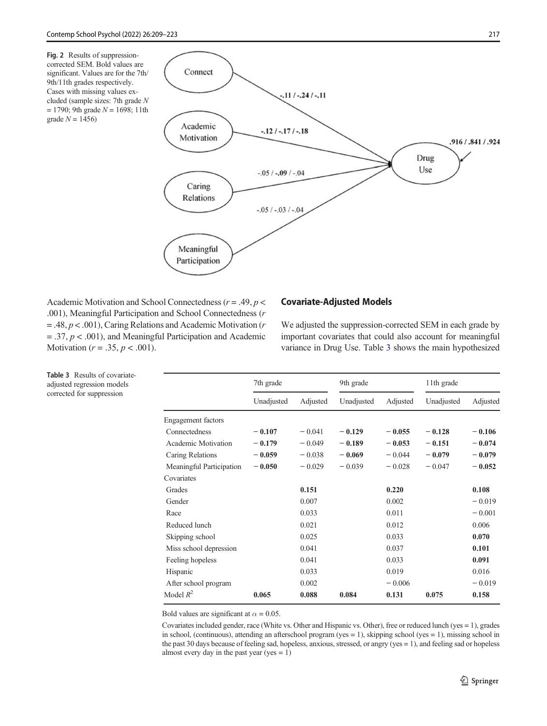<span id="page-8-0"></span>Fig. 2 Results of suppressioncorrected SEM. Bold values are significant. Values are for the 7th/ 9th/11th grades respectively. Cases with missing values excluded (sample sizes: 7th grade N  $= 1790$ ; 9th grade  $N = 1698$ ; 11th grade  $N = 1456$ 



Academic Motivation and School Connectedness ( $r = .49$ ,  $p <$ .001), Meaningful Participation and School Connectedness (r  $=$  .48,  $p < .001$ ), Caring Relations and Academic Motivation ( $r$  $= .37, p < .001$ , and Meaningful Participation and Academic Motivation ( $r = .35, p < .001$ ).

## Covariate-Adjusted Models

We adjusted the suppression-corrected SEM in each grade by important covariates that could also account for meaningful variance in Drug Use. Table 3 shows the main hypothesized

|                           | 7th grade  |          | 9th grade  |          | 11th grade |          |  |
|---------------------------|------------|----------|------------|----------|------------|----------|--|
|                           | Unadjusted | Adjusted | Unadjusted | Adjusted | Unadjusted | Adjusted |  |
| <b>Engagement</b> factors |            |          |            |          |            |          |  |
| Connectedness             | $-0.107$   | $-0.041$ | $-0.129$   | $-0.055$ | $-0.128$   | $-0.106$ |  |
| Academic Motivation       | $-0.179$   | $-0.049$ | $-0.189$   | $-0.053$ | $-0.151$   | $-0.074$ |  |
| Caring Relations          | $-0.059$   | $-0.038$ | $-0.069$   | $-0.044$ | $-0.079$   | $-0.079$ |  |
| Meaningful Participation  | $-0.050$   | $-0.029$ | $-0.039$   | $-0.028$ | $-0.047$   | $-0.052$ |  |
| Covariates                |            |          |            |          |            |          |  |
| Grades                    |            | 0.151    |            | 0.220    |            | 0.108    |  |
| Gender                    |            | 0.007    |            | 0.002    |            | $-0.019$ |  |
| Race                      |            | 0.033    |            | 0.011    |            | $-0.001$ |  |
| Reduced lunch             |            | 0.021    |            | 0.012    |            | 0.006    |  |
| Skipping school           |            | 0.025    |            | 0.033    |            | 0.070    |  |
| Miss school depression    |            | 0.041    |            | 0.037    |            | 0.101    |  |
| Feeling hopeless          |            | 0.041    |            | 0.033    |            | 0.091    |  |
| Hispanic                  |            | 0.033    |            | 0.019    |            | 0.016    |  |
| After school program      |            | 0.002    |            | $-0.006$ |            | $-0.019$ |  |
| Model $R^2$               | 0.065      | 0.088    | 0.084      | 0.131    | 0.075      | 0.158    |  |

Bold values are significant at  $\alpha = 0.05$ .

Covariates included gender, race (White vs. Other and Hispanic vs. Other), free or reduced lunch (yes = 1), grades in school, (continuous), attending an afterschool program (yes = 1), skipping school (yes = 1), missing school in the past 30 days because of feeling sad, hopeless, anxious, stressed, or angry (yes = 1), and feeling sad or hopeless almost every day in the past year (yes  $= 1$ )

Table 3 Results of covariateadjusted regression models corrected for suppression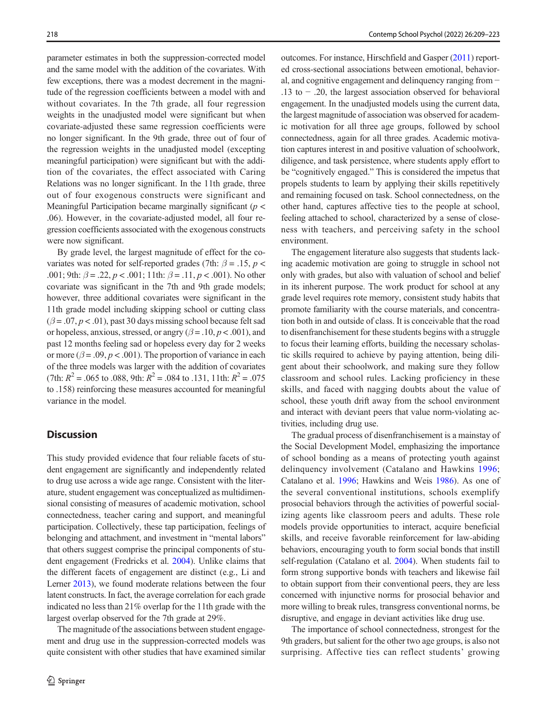parameter estimates in both the suppression-corrected model and the same model with the addition of the covariates. With few exceptions, there was a modest decrement in the magnitude of the regression coefficients between a model with and without covariates. In the 7th grade, all four regression weights in the unadjusted model were significant but when covariate-adjusted these same regression coefficients were no longer significant. In the 9th grade, three out of four of the regression weights in the unadjusted model (excepting meaningful participation) were significant but with the addition of the covariates, the effect associated with Caring Relations was no longer significant. In the 11th grade, three out of four exogenous constructs were significant and Meaningful Participation became marginally significant ( $p <$ .06). However, in the covariate-adjusted model, all four regression coefficients associated with the exogenous constructs were now significant.

By grade level, the largest magnitude of effect for the covariates was noted for self-reported grades (7th:  $\beta = .15$ ,  $p <$ .001; 9th:  $\beta = .22$ ,  $p < .001$ ; 11th:  $\beta = .11$ ,  $p < .001$ ). No other covariate was significant in the 7th and 9th grade models; however, three additional covariates were significant in the 11th grade model including skipping school or cutting class  $(\beta = .07, p < .01)$ , past 30 days missing school because felt sad or hopeless, anxious, stressed, or angry ( $\beta$  = .10,  $p$  < .001), and past 12 months feeling sad or hopeless every day for 2 weeks or more ( $\beta$  = .09,  $p$  < .001). The proportion of variance in each of the three models was larger with the addition of covariates (7th:  $R^2$  = .065 to .088, 9th:  $R^2$  = .084 to .131, 11th:  $R^2$  = .075 to .158) reinforcing these measures accounted for meaningful variance in the model.

# **Discussion**

This study provided evidence that four reliable facets of student engagement are significantly and independently related to drug use across a wide age range. Consistent with the literature, student engagement was conceptualized as multidimensional consisting of measures of academic motivation, school connectedness, teacher caring and support, and meaningful participation. Collectively, these tap participation, feelings of belonging and attachment, and investment in "mental labors" that others suggest comprise the principal components of student engagement (Fredricks et al. [2004](#page-12-0)). Unlike claims that the different facets of engagement are distinct (e.g., Li and Lerner [2013](#page-13-0)), we found moderate relations between the four latent constructs. In fact, the average correlation for each grade indicated no less than 21% overlap for the 11th grade with the largest overlap observed for the 7th grade at 29%.

The magnitude of the associations between student engagement and drug use in the suppression-corrected models was quite consistent with other studies that have examined similar outcomes. For instance, Hirschfield and Gasper [\(2011\)](#page-13-0) reported cross-sectional associations between emotional, behavioral, and cognitive engagement and delinquency ranging from − .13 to − .20, the largest association observed for behavioral engagement. In the unadjusted models using the current data, the largest magnitude of association was observed for academic motivation for all three age groups, followed by school connectedness, again for all three grades. Academic motivation captures interest in and positive valuation of schoolwork, diligence, and task persistence, where students apply effort to be "cognitively engaged." This is considered the impetus that propels students to learn by applying their skills repetitively and remaining focused on task. School connectedness, on the other hand, captures affective ties to the people at school, feeling attached to school, characterized by a sense of closeness with teachers, and perceiving safety in the school environment.

The engagement literature also suggests that students lacking academic motivation are going to struggle in school not only with grades, but also with valuation of school and belief in its inherent purpose. The work product for school at any grade level requires rote memory, consistent study habits that promote familiarity with the course materials, and concentration both in and outside of class. It is conceivable that the road to disenfranchisement for these students begins with a struggle to focus their learning efforts, building the necessary scholastic skills required to achieve by paying attention, being diligent about their schoolwork, and making sure they follow classroom and school rules. Lacking proficiency in these skills, and faced with nagging doubts about the value of school, these youth drift away from the school environment and interact with deviant peers that value norm-violating activities, including drug use.

The gradual process of disenfranchisement is a mainstay of the Social Development Model, emphasizing the importance of school bonding as a means of protecting youth against delinquency involvement (Catalano and Hawkins [1996;](#page-12-0) Catalano et al. [1996](#page-12-0); Hawkins and Weis [1986](#page-13-0)). As one of the several conventional institutions, schools exemplify prosocial behaviors through the activities of powerful socializing agents like classroom peers and adults. These role models provide opportunities to interact, acquire beneficial skills, and receive favorable reinforcement for law-abiding behaviors, encouraging youth to form social bonds that instill self-regulation (Catalano et al. [2004](#page-12-0)). When students fail to form strong supportive bonds with teachers and likewise fail to obtain support from their conventional peers, they are less concerned with injunctive norms for prosocial behavior and more willing to break rules, transgress conventional norms, be disruptive, and engage in deviant activities like drug use.

The importance of school connectedness, strongest for the 9th graders, but salient for the other two age groups, is also not surprising. Affective ties can reflect students' growing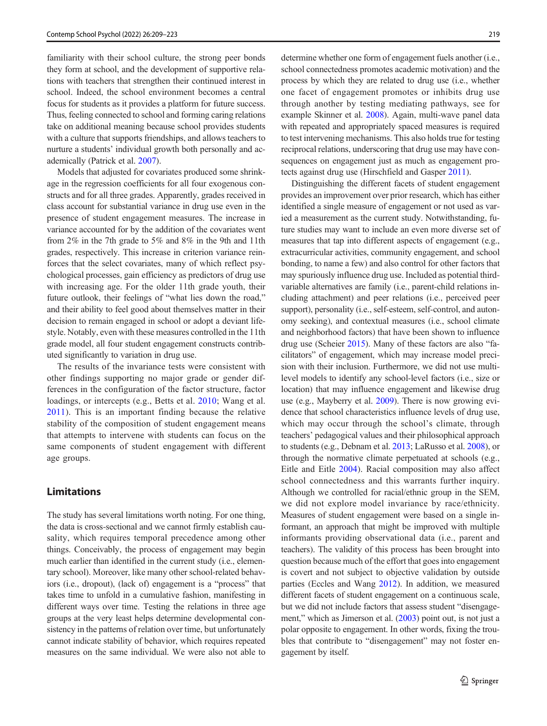familiarity with their school culture, the strong peer bonds they form at school, and the development of supportive relations with teachers that strengthen their continued interest in school. Indeed, the school environment becomes a central focus for students as it provides a platform for future success. Thus, feeling connected to school and forming caring relations take on additional meaning because school provides students with a culture that supports friendships, and allows teachers to nurture a students' individual growth both personally and academically (Patrick et al. [2007](#page-14-0)).

Models that adjusted for covariates produced some shrinkage in the regression coefficients for all four exogenous constructs and for all three grades. Apparently, grades received in class account for substantial variance in drug use even in the presence of student engagement measures. The increase in variance accounted for by the addition of the covariates went from 2% in the 7th grade to 5% and 8% in the 9th and 11th grades, respectively. This increase in criterion variance reinforces that the select covariates, many of which reflect psychological processes, gain efficiency as predictors of drug use with increasing age. For the older 11th grade youth, their future outlook, their feelings of "what lies down the road," and their ability to feel good about themselves matter in their decision to remain engaged in school or adopt a deviant lifestyle. Notably, even with these measures controlled in the 11th grade model, all four student engagement constructs contributed significantly to variation in drug use.

The results of the invariance tests were consistent with other findings supporting no major grade or gender differences in the configuration of the factor structure, factor loadings, or intercepts (e.g., Betts et al. [2010](#page-12-0); Wang et al. [2011](#page-14-0)). This is an important finding because the relative stability of the composition of student engagement means that attempts to intervene with students can focus on the same components of student engagement with different age groups.

# Limitations

The study has several limitations worth noting. For one thing, the data is cross-sectional and we cannot firmly establish causality, which requires temporal precedence among other things. Conceivably, the process of engagement may begin much earlier than identified in the current study (i.e., elementary school). Moreover, like many other school-related behaviors (i.e., dropout), (lack of) engagement is a "process" that takes time to unfold in a cumulative fashion, manifesting in different ways over time. Testing the relations in three age groups at the very least helps determine developmental consistency in the patterns of relation over time, but unfortunately cannot indicate stability of behavior, which requires repeated measures on the same individual. We were also not able to determine whether one form of engagement fuels another (i.e., school connectedness promotes academic motivation) and the process by which they are related to drug use (i.e., whether one facet of engagement promotes or inhibits drug use through another by testing mediating pathways, see for example Skinner et al. [2008](#page-14-0)). Again, multi-wave panel data with repeated and appropriately spaced measures is required to test intervening mechanisms. This also holds true for testing reciprocal relations, underscoring that drug use may have consequences on engagement just as much as engagement protects against drug use (Hirschfield and Gasper [2011\)](#page-13-0).

Distinguishing the different facets of student engagement provides an improvement over prior research, which has either identified a single measure of engagement or not used as varied a measurement as the current study. Notwithstanding, future studies may want to include an even more diverse set of measures that tap into different aspects of engagement (e.g., extracurricular activities, community engagement, and school bonding, to name a few) and also control for other factors that may spuriously influence drug use. Included as potential thirdvariable alternatives are family (i.e., parent-child relations including attachment) and peer relations (i.e., perceived peer support), personality (i.e., self-esteem, self-control, and autonomy seeking), and contextual measures (i.e., school climate and neighborhood factors) that have been shown to influence drug use (Scheier [2015\)](#page-14-0). Many of these factors are also "facilitators" of engagement, which may increase model precision with their inclusion. Furthermore, we did not use multilevel models to identify any school-level factors (i.e., size or location) that may influence engagement and likewise drug use (e.g., Mayberry et al. [2009](#page-13-0)). There is now growing evidence that school characteristics influence levels of drug use, which may occur through the school's climate, through teachers' pedagogical values and their philosophical approach to students (e.g., Debnam et al. [2013;](#page-12-0) LaRusso et al. [2008](#page-13-0)), or through the normative climate perpetuated at schools (e.g., Eitle and Eitle [2004](#page-12-0)). Racial composition may also affect school connectedness and this warrants further inquiry. Although we controlled for racial/ethnic group in the SEM, we did not explore model invariance by race/ethnicity. Measures of student engagement were based on a single informant, an approach that might be improved with multiple informants providing observational data (i.e., parent and teachers). The validity of this process has been brought into question because much of the effort that goes into engagement is covert and not subject to objective validation by outside parties (Eccles and Wang [2012\)](#page-12-0). In addition, we measured different facets of student engagement on a continuous scale, but we did not include factors that assess student "disengagement," which as Jimerson et al. [\(2003\)](#page-13-0) point out, is not just a polar opposite to engagement. In other words, fixing the troubles that contribute to "disengagement" may not foster engagement by itself.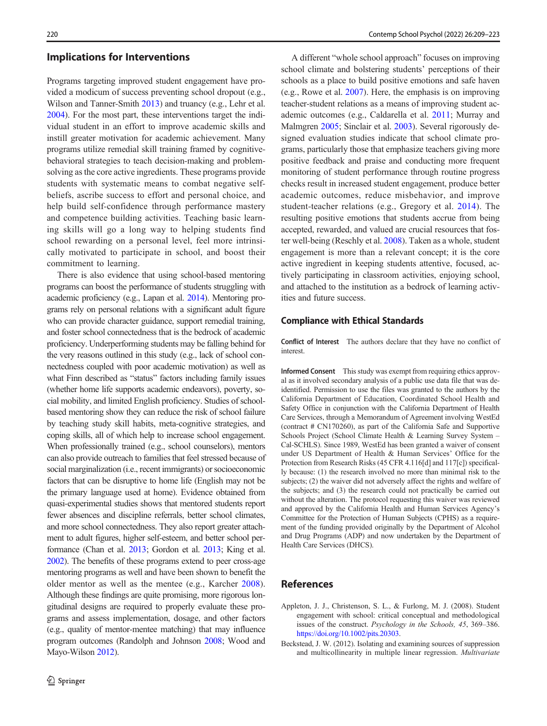#### <span id="page-11-0"></span>Implications for Interventions

Programs targeting improved student engagement have provided a modicum of success preventing school dropout (e.g., Wilson and Tanner-Smith [2013\)](#page-14-0) and truancy (e.g., Lehr et al. [2004\)](#page-13-0). For the most part, these interventions target the individual student in an effort to improve academic skills and instill greater motivation for academic achievement. Many programs utilize remedial skill training framed by cognitivebehavioral strategies to teach decision-making and problemsolving as the core active ingredients. These programs provide students with systematic means to combat negative selfbeliefs, ascribe success to effort and personal choice, and help build self-confidence through performance mastery and competence building activities. Teaching basic learning skills will go a long way to helping students find school rewarding on a personal level, feel more intrinsically motivated to participate in school, and boost their commitment to learning.

There is also evidence that using school-based mentoring programs can boost the performance of students struggling with academic proficiency (e.g., Lapan et al. [2014\)](#page-13-0). Mentoring programs rely on personal relations with a significant adult figure who can provide character guidance, support remedial training, and foster school connectedness that is the bedrock of academic proficiency. Underperforming students may be falling behind for the very reasons outlined in this study (e.g., lack of school connectedness coupled with poor academic motivation) as well as what Finn described as "status" factors including family issues (whether home life supports academic endeavors), poverty, social mobility, and limited English proficiency. Studies of schoolbased mentoring show they can reduce the risk of school failure by teaching study skill habits, meta-cognitive strategies, and coping skills, all of which help to increase school engagement. When professionally trained (e.g., school counselors), mentors can also provide outreach to families that feel stressed because of social marginalization (i.e., recent immigrants) or socioeconomic factors that can be disruptive to home life (English may not be the primary language used at home). Evidence obtained from quasi-experimental studies shows that mentored students report fewer absences and discipline referrals, better school climates, and more school connectedness. They also report greater attachment to adult figures, higher self-esteem, and better school performance (Chan et al. [2013](#page-12-0); Gordon et al. [2013;](#page-12-0) King et al. [2002\)](#page-13-0). The benefits of these programs extend to peer cross-age mentoring programs as well and have been shown to benefit the older mentor as well as the mentee (e.g., Karcher [2008](#page-13-0)). Although these findings are quite promising, more rigorous longitudinal designs are required to properly evaluate these programs and assess implementation, dosage, and other factors (e.g., quality of mentor-mentee matching) that may influence program outcomes (Randolph and Johnson [2008;](#page-14-0) Wood and Mayo-Wilson [2012](#page-14-0)).

A different "whole school approach" focuses on improving school climate and bolstering students' perceptions of their schools as a place to build positive emotions and safe haven (e.g., Rowe et al. [2007\)](#page-14-0). Here, the emphasis is on improving teacher-student relations as a means of improving student academic outcomes (e.g., Caldarella et al. [2011](#page-12-0); Murray and Malmgren [2005](#page-14-0); Sinclair et al. [2003\)](#page-14-0). Several rigorously designed evaluation studies indicate that school climate programs, particularly those that emphasize teachers giving more positive feedback and praise and conducting more frequent monitoring of student performance through routine progress checks result in increased student engagement, produce better academic outcomes, reduce misbehavior, and improve student-teacher relations (e.g., Gregory et al. [2014\)](#page-12-0). The resulting positive emotions that students accrue from being accepted, rewarded, and valued are crucial resources that foster well-being (Reschly et al. [2008\)](#page-14-0). Taken as a whole, student engagement is more than a relevant concept; it is the core active ingredient in keeping students attentive, focused, actively participating in classroom activities, enjoying school, and attached to the institution as a bedrock of learning activities and future success.

#### Compliance with Ethical Standards

Conflict of Interest The authors declare that they have no conflict of interest.

Informed Consent This study was exempt from requiring ethics approval as it involved secondary analysis of a public use data file that was deidentified. Permission to use the files was granted to the authors by the California Department of Education, Coordinated School Health and Safety Office in conjunction with the California Department of Health Care Services, through a Memorandum of Agreement involving WestEd (contract # CN170260), as part of the California Safe and Supportive Schools Project (School Climate Health & Learning Survey System – Cal-SCHLS). Since 1989, WestEd has been granted a waiver of consent under US Department of Health & Human Services' Office for the Protection from Research Risks (45 CFR 4.116[d] and 117[c]) specifically because: (1) the research involved no more than minimal risk to the subjects; (2) the waiver did not adversely affect the rights and welfare of the subjects; and (3) the research could not practically be carried out without the alteration. The protocol requesting this waiver was reviewed and approved by the California Health and Human Services Agency's Committee for the Protection of Human Subjects (CPHS) as a requirement of the funding provided originally by the Department of Alcohol and Drug Programs (ADP) and now undertaken by the Department of Health Care Services (DHCS).

# References

- Appleton, J. J., Christenson, S. L., & Furlong, M. J. (2008). Student engagement with school: critical conceptual and methodological issues of the construct. Psychology in the Schools, 45, 369–386. <https://doi.org/10.1002/pits.20303>.
- Beckstead, J. W. (2012). Isolating and examining sources of suppression and multicollinearity in multiple linear regression. Multivariate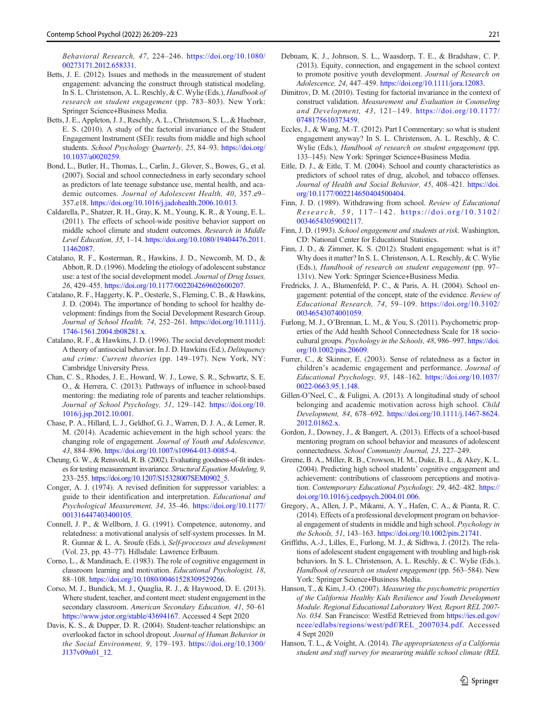<span id="page-12-0"></span>Behavioral Research, 47, 224–246. [https://doi.org/10.1080/](https://doi.org/10.1080/00273171.2012.658331) [00273171.2012.658331](https://doi.org/10.1080/00273171.2012.658331).

- Betts, J. E. (2012). Issues and methods in the measurement of student engagement: advancing the construct through statistical modeling. In S. L. Christenson, A. L. Reschly, & C. Wylie (Eds.), Handbook of research on student engagement (pp. 783–803). New York: Springer Science+Business Media.
- Betts, J. E., Appleton, J. J., Reschly, A. L., Christenson, S. L., & Huebner, E. S. (2010). A study of the factorial invariance of the Student Engagement Instrument (SEI): results from middle and high school students. School Psychology Quarterly, 25, 84–93. [https://doi.org/](https://doi.org/10.1037/a0020259) [10.1037/a0020259.](https://doi.org/10.1037/a0020259)
- Bond, L., Butler, H., Thomas, L., Carlin, J., Glover, S., Bowes, G., et al. (2007). Social and school connectedness in early secondary school as predictors of late teenage substance use, mental health, and academic outcomes. Journal of Adolescent Health, 40, 357.e9– 357.e18. [https://doi.org/10.1016/j.jadohealth.2006.10.013.](https://doi.org/10.1016/j.jadohealth.2006.10.013)
- Caldarella, P., Shatzer, R. H., Gray, K. M., Young, K. R., & Young, E. L. (2011). The effects of school-wide positive behavior support on middle school climate and student outcomes. Research in Middle Level Education, 35, 1–14. [https://doi.org/10.1080/19404476.2011.](https://doi.org/10.1080/19404476.2011.11462087) [11462087](https://doi.org/10.1080/19404476.2011.11462087).
- Catalano, R. F., Kosterman, R., Hawkins, J. D., Newcomb, M. D., & Abbott, R. D. (1996). Modeling the etiology of adolescent substance use: a test of the social development model. Journal of Drug Issues, 26, 429–455. <https://doi.org/10.1177/002204269602600207>.
- Catalano, R. F., Haggerty, K. P., Oesterle, S., Fleming, C. B., & Hawkins, J. D. (2004). The importance of bonding to school for healthy development: findings from the Social Development Research Group. Journal of School Health, 74, 252-261. [https://doi.org/10.1111/j.](https://doi.org/10.1111/j.1746-1561.2004.tb08281.x) [1746-1561.2004.tb08281.x](https://doi.org/10.1111/j.1746-1561.2004.tb08281.x).
- Catalano, R. F., & Hawkins, J. D. (1996). The social development model: A theory of antisocial behavior. In J. D. Hawkins (Ed.), Delinquency and crime: Current theories (pp. 149–197). New York, NY: Cambridge University Press.
- Chan, C. S., Rhodes, J. E., Howard, W. J., Lowe, S. R., Schwartz, S. E. O., & Herrera, C. (2013). Pathways of influence in school-based mentoring: the mediating role of parents and teacher relationships. Journal of School Psychology, 51, 129–142. [https://doi.org/10.](https://doi.org/10.1016/j.jsp.2012.10.001) [1016/j.jsp.2012.10.001.](https://doi.org/10.1016/j.jsp.2012.10.001)
- Chase, P. A., Hillard, L. J., Geldhof, G. J., Warren, D. J. A., & Lerner, R. M. (2014). Academic achievement in the high school years: the changing role of engagement. Journal of Youth and Adolescence, 43, 884–896. [https://doi.org/10.1007/s10964-013-0085-4.](https://doi.org/10.1007/s10964-013-0085-4)
- Cheung, G. W., & Rensvold, R. B. (2002). Evaluating goodness-of-fit indexes for testing measurement invariance. Structural Equation Modeling, 9, 233–255. [https://doi.org/10.1207/S15328007SEM0902\\_5.](https://doi.org/10.1207/S15328007SEM0902_5)
- Conger, A. J. (1974). A revised definition for suppressor variables: a guide to their identification and interpretation. Educational and Psychological Measurement, 34, 35–46. [https://doi.org/10.1177/](https://doi.org/10.1177/001316447403400105) [001316447403400105](https://doi.org/10.1177/001316447403400105).
- Connell, J. P., & Wellborn, J. G. (1991). Competence, autonomy, and relatedness: a motivational analysis of self-system processes. In M. R. Gunnar & L. A. Sroufe (Eds.), Self-processes and development (Vol. 23, pp. 43–77). Hillsdale: Lawrence Erlbaum.
- Corno, L., & Mandinach, E. (1983). The role of cognitive engagement in classroom learning and motivation. Educational Psychologist, 18, 88–108. <https://doi.org/10.1080/00461528309529266>.
- Corso, M. J., Bundick, M. J., Quaglia, R. J., & Haywood, D. E. (2013). Where student, teacher, and content meet: student engagement in the secondary classroom. American Secondary Education, 41, 50-61 [https://www.jstor.org/stable/43694167.](https://www.jstor.org/stable/43694167) Accessed 4 Sept 2020
- Davis, K. S., & Dupper, D. R. (2004). Student-teacher relationships: an overlooked factor in school dropout. Journal of Human Behavior in the Social Environment, 9, 179–193. [https://doi.org/10.1300/](https://doi.org/10.1300/J137v09n01_12) [J137v09n01\\_12.](https://doi.org/10.1300/J137v09n01_12)
- Debnam, K. J., Johnson, S. L., Waasdorp, T. E., & Bradshaw, C. P. (2013). Equity, connection, and engagement in the school context to promote positive youth development. Journal of Research on Adolescence, 24, 447–459. <https://doi.org/10.1111/jora.12083>.
- Dimitrov, D. M. (2010). Testing for factorial invariance in the context of construct validation. Measurement and Evaluation in Counseling and Development, 43, 121–149. [https://doi.org/10.1177/](https://doi.org/10.1177/0748175610373459) [0748175610373459](https://doi.org/10.1177/0748175610373459).
- Eccles, J., & Wang, M.-T. (2012). Part I Commentary: so what is student engagement anyway? In S. L. Christenson, A. L. Reschly, & C. Wylie (Eds.), Handbook of research on student engagement (pp. 133–145). New York: Springer Science+Business Media.
- Eitle, D. J., & Eitle, T. M. (2004). School and county characteristics as predictors of school rates of drug, alcohol, and tobacco offenses. Journal of Health and Social Behavior, 45, 408–421. [https://doi.](https://doi.org/10.1177/002214650404500404) [org/10.1177/002214650404500404.](https://doi.org/10.1177/002214650404500404)
- Finn, J. D. (1989). Withdrawing from school. Review of Educational Research, 59 , 117 – 142. [https://doi.org/10.3102/](https://doi.org/10.3102/00346543059002117) [00346543059002117](https://doi.org/10.3102/00346543059002117).
- Finn, J. D. (1993). School engagement and students at risk. Washington, CD: National Center for Educational Statistics.
- Finn, J. D., & Zimmer, K. S. (2012). Student engagement: what is it? Why does it matter? In S. L. Christenson, A. L. Reschly, & C. Wylie (Eds.), Handbook of research on student engagement (pp. 97– 131v). New York: Springer Science+Business Media.
- Fredricks, J. A., Blumenfeld, P. C., & Paris, A. H. (2004). School engagement: potential of the concept, state of the evidence. Review of Educational Research, 74, 59–109. [https://doi.org/10.3102/](https://doi.org/10.3102/00346543074001059) [00346543074001059](https://doi.org/10.3102/00346543074001059).
- Furlong, M. J., O'Brennan, L. M., & You, S. (2011). Psychometric properties of the Add health School Connectedness Scale for 18 sociocultural groups. Psychology in the Schools, 48, 986-997. [https://doi.](https://doi.org/10.1002/pits.20609) [org/10.1002/pits.20609.](https://doi.org/10.1002/pits.20609)
- Furrer, C., & Skinner, E. (2003). Sense of relatedness as a factor in children's academic engagement and performance. Journal of Educational Psychology, 95, 148–162. [https://doi.org/10.1037/](https://doi.org/10.1037/0022-0663.95.1.148) [0022-0663.95.1.148.](https://doi.org/10.1037/0022-0663.95.1.148)
- Gillen-O'Neel, C., & Fuligni, A. (2013). A longitudinal study of school belonging and academic motivation across high school. Child Development, 84, 678–692. [https://doi.org/10.1111/j.1467-8624.](https://doi.org/10.1111/j.1467-8624.2012.01862.x) [2012.01862.x](https://doi.org/10.1111/j.1467-8624.2012.01862.x).
- Gordon, J., Downey, J., & Bangert, A. (2013). Effects of a school-based mentoring program on school behavior and measures of adolescent connectedness. School Community Journal, 23, 227–249.
- Greene, B. A., Miller, R. B., Crowson, H. M., Duke, B. L., & Akey, K. L. (2004). Predicting high school students' cognitive engagement and achievement: contributions of classroom perceptions and motivation. Contemporary Educational Psychology, 29, 462–482. [https://](https://doi.org/10.1016/j.cedpsych.2004.01.006) [doi.org/10.1016/j.cedpsych.2004.01.006.](https://doi.org/10.1016/j.cedpsych.2004.01.006)
- Gregory, A., Allen, J. P., Mikami, A. Y., Hafen, C. A., & Pianta, R. C. (2014). Effects of a professional development program on behavioral engagement of students in middle and high school. Psychology in the Schools, 51, 143–163. <https://doi.org/10.1002/pits.21741>.
- Griffiths, A.-J., Lilles, E., Furlong, M. J., & Sidhwa, J. (2012). The relations of adolescent student engagement with troubling and high-risk behaviors. In S. L. Christenson, A. L. Reschly, & C. Wylie (Eds.), Handbook of research on student engagement (pp. 563–584). New York: Springer Science+Business Media.
- Hanson, T., & Kim, J.-O. (2007). Measuring the psychometric properties of the California Healthy Kids Resilience and Youth Development Module. Regional Educational Laboratory West, Report REL 2007- No. 034. San Francisco: WestEd Retrieved from [https://ies.ed.gov/](https://ies.ed.gov/ncee/edlabs/regions/west/pdf/REL_2007034.pdf) [ncee/edlabs/regions/west/pdf/REL\\_2007034.pdf.](https://ies.ed.gov/ncee/edlabs/regions/west/pdf/REL_2007034.pdf) Accessed 4 Sept 2020
- Hanson, T. L., & Voight, A. (2014). The appropriateness of a California student and staff survey for measuring middle school climate (REL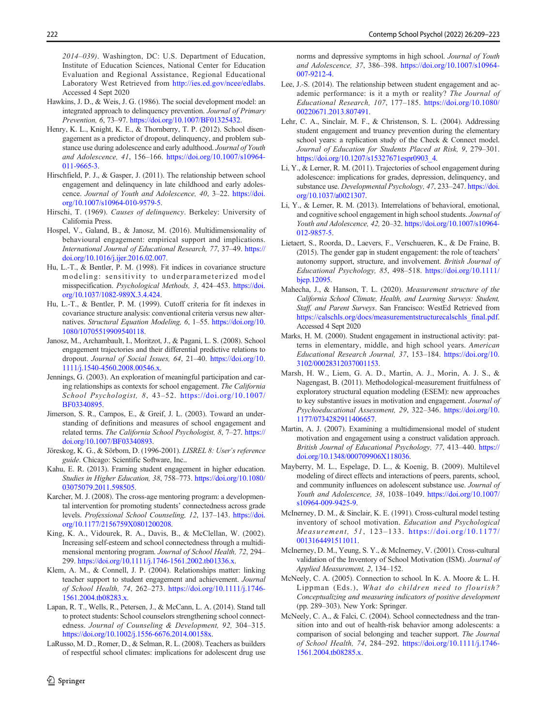<span id="page-13-0"></span>2014–039). Washington, DC: U.S. Department of Education, Institute of Education Sciences, National Center for Education Evaluation and Regional Assistance, Regional Educational Laboratory West Retrieved from [http://ies.ed.gov/ncee/edlabs.](http://ies.ed.gov/ncee/edlabs) Accessed 4 Sept 2020

- Hawkins, J. D., & Weis, J. G. (1986). The social development model: an integrated approach to delinquency prevention. Journal of Primary Prevention, 6, 73–97. [https://doi.org/10.1007/BF01325432.](https://doi.org/10.1007/BF01325432)
- Henry, K. L., Knight, K. E., & Thornberry, T. P. (2012). School disengagement as a predictor of dropout, delinquency, and problem substance use during adolescence and early adulthood. Journal of Youth and Adolescence, 41, 156–166. [https://doi.org/10.1007/s10964-](https://doi.org/10.1007/s10964-011-9665-3) [011-9665-3](https://doi.org/10.1007/s10964-011-9665-3).
- Hirschfield, P. J., & Gasper, J. (2011). The relationship between school engagement and delinquency in late childhood and early adolescence. Journal of Youth and Adolescence, 40, 3–22. [https://doi.](https://doi.org/10.1007/s10964-010-9579-5) [org/10.1007/s10964-010-9579-5.](https://doi.org/10.1007/s10964-010-9579-5)
- Hirschi, T. (1969). Causes of delinquency. Berkeley: University of California Press.
- Hospel, V., Galand, B., & Janosz, M. (2016). Multidimensionality of behavioural engagement: empirical support and implications. International Journal of Educational Research, 77, 37–49. [https://](https://doi.org/10.1016/j.ijer.2016.02.007) [doi.org/10.1016/j.ijer.2016.02.007.](https://doi.org/10.1016/j.ijer.2016.02.007)
- Hu, L.-T., & Bentler, P. M. (1998). Fit indices in covariance structure modeling: sensitivity to underparameterized model misspecification. Psychological Methods, 3, 424–453. [https://doi.](https://doi.org/10.1037/1082-989X.3.4.424) [org/10.1037/1082-989X.3.4.424](https://doi.org/10.1037/1082-989X.3.4.424).
- Hu, L.-T., & Bentler, P. M. (1999). Cutoff criteria for fit indexes in covariance structure analysis: conventional criteria versus new alternatives. Structural Equation Modeling, 6, 1–55. [https://doi.org/10.](https://doi.org/10.1080/10705519909540118) [1080/10705519909540118.](https://doi.org/10.1080/10705519909540118)
- Janosz, M., Archambault, I., Moritzot, J., & Pagani, L. S. (2008). School engagement trajectories and their differential predictive relations to dropout. Journal of Social Issues, 64, 21-40. [https://doi.org/10.](https://doi.org/10.1111/j.1540-4560.2008.00546.x) [1111/j.1540-4560.2008.00546.x](https://doi.org/10.1111/j.1540-4560.2008.00546.x).
- Jennings, G. (2003). An exploration of meaningful participation and caring relationships as contexts for school engagement. The California School Psychologist, 8, 43–52. [https://doi.org/10.1007/](https://doi.org/10.1007/BF03340895) [BF03340895](https://doi.org/10.1007/BF03340895).
- Jimerson, S. R., Campos, E., & Greif, J. L. (2003). Toward an understanding of definitions and measures of school engagement and related terms. The California School Psychologist, 8, 7–27. [https://](https://doi.org/10.1007/BF03340893) [doi.org/10.1007/BF03340893.](https://doi.org/10.1007/BF03340893)
- Jöreskog, K. G., & Sörbom, D. (1996-2001). LISREL 8: User's reference guide. Chicago: Scientific Software, Inc..
- Kahu, E. R. (2013). Framing student engagement in higher education. Studies in Higher Education, 38, 758–773. [https://doi.org/10.1080/](https://doi.org/10.1080/03075079.2011.598505) [03075079.2011.598505](https://doi.org/10.1080/03075079.2011.598505).
- Karcher, M. J. (2008). The cross-age mentoring program: a developmental intervention for promoting students' connectedness across grade levels. Professional School Counseling, 12, 137–143. [https://doi.](https://doi.org/10.1177/2156759X0801200208) [org/10.1177/2156759X0801200208](https://doi.org/10.1177/2156759X0801200208).
- King, K. A., Vidourek, R. A., Davis, B., & McClellan, W. (2002). Increasing self-esteem and school connectedness through a multidimensional mentoring program. Journal of School Health, 72, 294– 299. <https://doi.org/10.1111/j.1746-1561.2002.tb01336.x>.
- Klem, A. M., & Connell, J. P. (2004). Relationships matter: linking teacher support to student engagement and achievement. Journal of School Health, 74, 262–273. [https://doi.org/10.1111/j.1746-](https://doi.org/10.1111/j.1746-1561.2004.tb08283.x) [1561.2004.tb08283.x](https://doi.org/10.1111/j.1746-1561.2004.tb08283.x).
- Lapan, R. T., Wells, R., Petersen, J., & McCann, L. A. (2014). Stand tall to protect students: School counselors strengthening school connectedness. Journal of Counseling & Development, 92, 304–315. <https://doi.org/10.1002/j.1556-6676.2014.00158x>.
- LaRusso, M. D., Romer, D., & Selman, R. L. (2008). Teachers as builders of respectful school climates: implications for adolescent drug use

norms and depressive symptoms in high school. Journal of Youth and Adolescence, 37, 386–398. [https://doi.org/10.1007/s10964-](https://doi.org/10.1007/s10964-007-9212-4) [007-9212-4](https://doi.org/10.1007/s10964-007-9212-4).

- Lee, J.-S. (2014). The relationship between student engagement and academic performance: is it a myth or reality? The Journal of Educational Research, 107, 177–185. [https://doi.org/10.1080/](https://doi.org/10.1080/00220671.2013.807491) [00220671.2013.807491.](https://doi.org/10.1080/00220671.2013.807491)
- Lehr, C. A., Sinclair, M. F., & Christenson, S. L. (2004). Addressing student engagement and truancy prevention during the elementary school years: a replication study of the Check & Connect model. Journal of Education for Students Placed at Risk, 9, 279–301. [https://doi.org/10.1207/s15327671espr0903\\_4.](https://doi.org/10.1207/s15327671espr0903_4)
- Li, Y., & Lerner, R. M. (2011). Trajectories of school engagement during adolescence: implications for grades, depression, delinquency, and substance use. Developmental Psychology, 47, 233-247. [https://doi.](https://doi.org/10.1037/a0021307) [org/10.1037/a0021307.](https://doi.org/10.1037/a0021307)
- Li, Y., & Lerner, R. M. (2013). Interrelations of behavioral, emotional, and cognitive school engagement in high school students. Journal of Youth and Adolescence, 42, 20–32. [https://doi.org/10.1007/s10964-](https://doi.org/10.1007/s10964-012-9857-5) [012-9857-5](https://doi.org/10.1007/s10964-012-9857-5).
- Lietaert, S., Roorda, D., Laevers, F., Verschueren, K., & De Fraine, B. (2015). The gender gap in student engagement: the role of teachers' autonomy support, structure, and involvement. British Journal of Educational Psychology, 85, 498–518. [https://doi.org/10.1111/](https://doi.org/10.1111/bjep.12095) [bjep.12095.](https://doi.org/10.1111/bjep.12095)
- Mahecha, J., & Hanson, T. L. (2020). Measurement structure of the California School Climate, Health, and Learning Surveys: Student, Staff, and Parent Surveys. San Francisco: WestEd Retrieved from [https://calschls.org/docs/measurementstructurecalschls\\_final.pdf](https://calschls.org/docs/measurementstructurecalschls_final.pdf). Accessed 4 Sept 2020
- Marks, H. M. (2000). Student engagement in instructional activity: patterns in elementary, middle, and high school years. American Educational Research Journal, 37, 153–184. [https://doi.org/10.](https://doi.org/10.3102/00028312037001153) [3102/00028312037001153](https://doi.org/10.3102/00028312037001153).
- Marsh, H. W., Liem, G. A. D., Martin, A. J., Morin, A. J. S., & Nagengast, B. (2011). Methodological-measurement fruitfulness of exploratory structural equation modeling (ESEM): new approaches to key substantive issues in motivation and engagement. Journal of Psychoeducational Assessment, 29, 322–346. [https://doi.org/10.](https://doi.org/10.1177/0734282911406657) [1177/0734282911406657.](https://doi.org/10.1177/0734282911406657)
- Martin, A. J. (2007). Examining a multidimensional model of student motivation and engagement using a construct validation approach. British Journal of Educational Psychology, 77, 413-440. [https://](https://doi.org/10.1348/000709906X118036) [doi.org/10.1348/000709906X118036.](https://doi.org/10.1348/000709906X118036)
- Mayberry, M. L., Espelage, D. L., & Koenig, B. (2009). Multilevel modeling of direct effects and interactions of peers, parents, school, and community influences on adolescent substance use. Journal of Youth and Adolescence, 38, 1038–1049. [https://doi.org/10.1007/](https://doi.org/10.1007/s10964-009-9425-9) [s10964-009-9425-9.](https://doi.org/10.1007/s10964-009-9425-9)
- McInerney, D. M., & Sinclair, K. E. (1991). Cross-cultural model testing inventory of school motivation. Education and Psychological Measurement, 51, 123–133. [https://doi.org/10.1177/](https://doi.org/10.1177/0013164491511011) [0013164491511011](https://doi.org/10.1177/0013164491511011).
- McInerney, D. M., Yeung, S. Y., & McInerney, V. (2001). Cross-cultural validation of the Inventory of School Motivation (ISM). Journal of Applied Measurement, 2, 134–152.
- McNeely, C. A. (2005). Connection to school. In K. A. Moore & L. H. Lippman (Eds.), What do children need to flourish? Conceptualizing and measuring indicators of positive development (pp. 289–303). New York: Springer.
- McNeely, C. A., & Falci, C. (2004). School connectedness and the transition into and out of health-risk behavior among adolescents: a comparison of social belonging and teacher support. The Journal of School Health, 74, 284–292. [https://doi.org/10.1111/j.1746-](https://doi.org/10.1111/j.1746-1561.2004.tb08285.x) [1561.2004.tb08285.x](https://doi.org/10.1111/j.1746-1561.2004.tb08285.x).